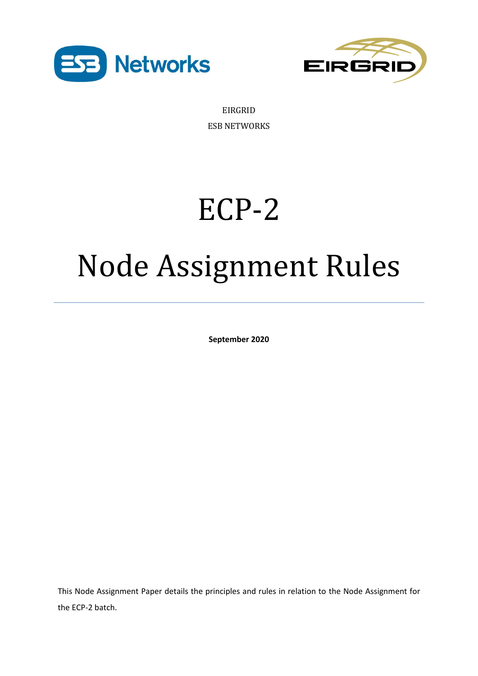



EIRGRID ESB NETWORKS

# ECP-2

# Node Assignment Rules

**September 2020**

This Node Assignment Paper details the principles and rules in relation to the Node Assignment for the ECP-2 batch.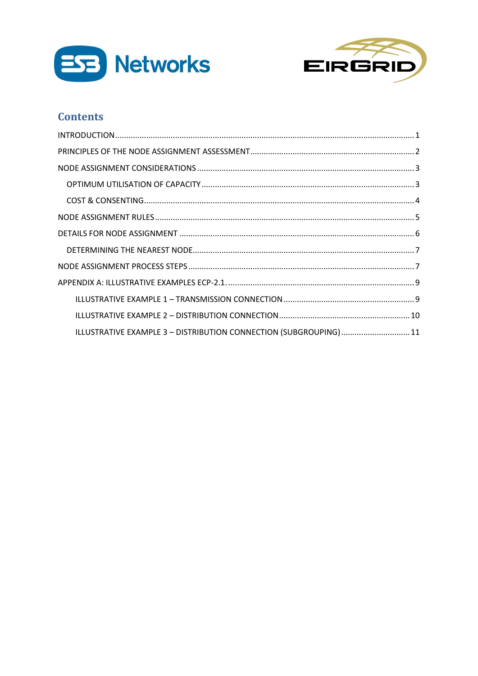



## **Contents**

| ILLUSTRATIVE EXAMPLE 3 - DISTRIBUTION CONNECTION (SUBGROUPING) 11 |  |
|-------------------------------------------------------------------|--|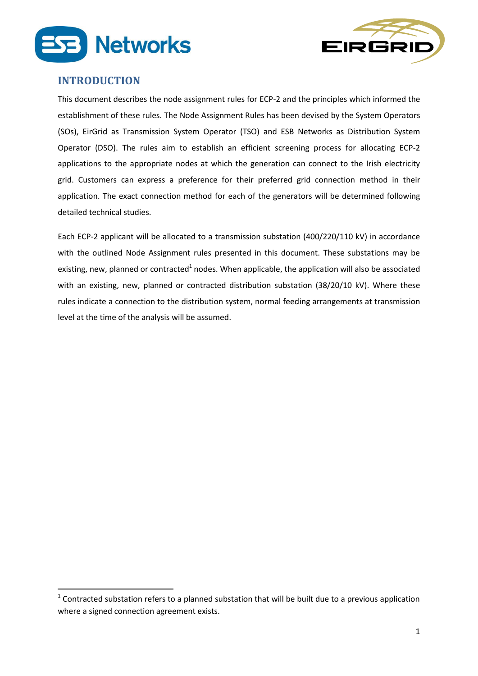



#### <span id="page-2-0"></span>**INTRODUCTION**

1

This document describes the node assignment rules for ECP-2 and the principles which informed the establishment of these rules. The Node Assignment Rules has been devised by the System Operators (SOs), EirGrid as Transmission System Operator (TSO) and ESB Networks as Distribution System Operator (DSO). The rules aim to establish an efficient screening process for allocating ECP-2 applications to the appropriate nodes at which the generation can connect to the Irish electricity grid. Customers can express a preference for their preferred grid connection method in their application. The exact connection method for each of the generators will be determined following detailed technical studies.

Each ECP-2 applicant will be allocated to a transmission substation (400/220/110 kV) in accordance with the outlined Node Assignment rules presented in this document. These substations may be existing, new, planned or contracted<sup>1</sup> nodes. When applicable, the application will also be associated with an existing, new, planned or contracted distribution substation (38/20/10 kV). Where these rules indicate a connection to the distribution system, normal feeding arrangements at transmission level at the time of the analysis will be assumed.

 $1$  Contracted substation refers to a planned substation that will be built due to a previous application where a signed connection agreement exists.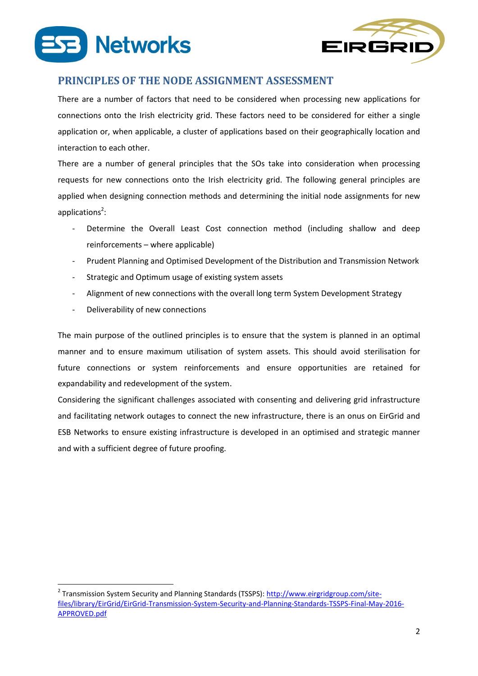



## <span id="page-3-0"></span>**PRINCIPLES OF THE NODE ASSIGNMENT ASSESSMENT**

There are a number of factors that need to be considered when processing new applications for connections onto the Irish electricity grid. These factors need to be considered for either a single application or, when applicable, a cluster of applications based on their geographically location and interaction to each other.

There are a number of general principles that the SOs take into consideration when processing requests for new connections onto the Irish electricity grid. The following general principles are applied when designing connection methods and determining the initial node assignments for new applications<sup>2</sup>:

- Determine the Overall Least Cost connection method (including shallow and deep reinforcements – where applicable)
- Prudent Planning and Optimised Development of the Distribution and Transmission Network
- Strategic and Optimum usage of existing system assets
- Alignment of new connections with the overall long term System Development Strategy
- Deliverability of new connections

**.** 

The main purpose of the outlined principles is to ensure that the system is planned in an optimal manner and to ensure maximum utilisation of system assets. This should avoid sterilisation for future connections or system reinforcements and ensure opportunities are retained for expandability and redevelopment of the system.

Considering the significant challenges associated with consenting and delivering grid infrastructure and facilitating network outages to connect the new infrastructure, there is an onus on EirGrid and ESB Networks to ensure existing infrastructure is developed in an optimised and strategic manner and with a sufficient degree of future proofing.

<sup>&</sup>lt;sup>2</sup> Transmission System Security and Planning Standards (TSSPS): [http://www.eirgridgroup.com/site](http://www.eirgridgroup.com/site-files/library/EirGrid/EirGrid-Transmission-System-Security-and-Planning-Standards-TSSPS-Final-May-2016-APPROVED.pdf)[files/library/EirGrid/EirGrid-Transmission-System-Security-and-Planning-Standards-TSSPS-Final-May-2016-](http://www.eirgridgroup.com/site-files/library/EirGrid/EirGrid-Transmission-System-Security-and-Planning-Standards-TSSPS-Final-May-2016-APPROVED.pdf) [APPROVED.pdf](http://www.eirgridgroup.com/site-files/library/EirGrid/EirGrid-Transmission-System-Security-and-Planning-Standards-TSSPS-Final-May-2016-APPROVED.pdf)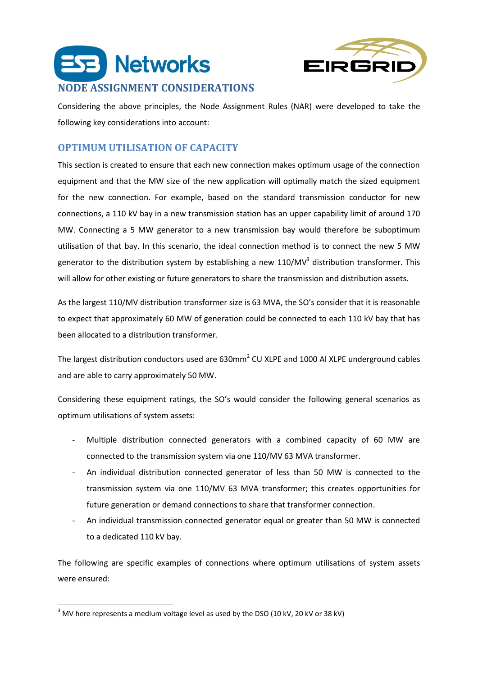



<span id="page-4-0"></span>Considering the above principles, the Node Assignment Rules (NAR) were developed to take the following key considerations into account:

## <span id="page-4-1"></span>**OPTIMUM UTILISATION OF CAPACITY**

This section is created to ensure that each new connection makes optimum usage of the connection equipment and that the MW size of the new application will optimally match the sized equipment for the new connection. For example, based on the standard transmission conductor for new connections, a 110 kV bay in a new transmission station has an upper capability limit of around 170 MW. Connecting a 5 MW generator to a new transmission bay would therefore be suboptimum utilisation of that bay. In this scenario, the ideal connection method is to connect the new 5 MW generator to the distribution system by establishing a new 110/MV<sup>3</sup> distribution transformer. This will allow for other existing or future generators to share the transmission and distribution assets.

As the largest 110/MV distribution transformer size is 63 MVA, the SO's consider that it is reasonable to expect that approximately 60 MW of generation could be connected to each 110 kV bay that has been allocated to a distribution transformer.

The largest distribution conductors used are  $630$ mm<sup>2</sup> CU XLPE and 1000 Al XLPE underground cables and are able to carry approximately 50 MW.

Considering these equipment ratings, the SO's would consider the following general scenarios as optimum utilisations of system assets:

- Multiple distribution connected generators with a combined capacity of 60 MW are connected to the transmission system via one 110/MV 63 MVA transformer.
- An individual distribution connected generator of less than 50 MW is connected to the transmission system via one 110/MV 63 MVA transformer; this creates opportunities for future generation or demand connections to share that transformer connection.
- An individual transmission connected generator equal or greater than 50 MW is connected to a dedicated 110 kV bay.

The following are specific examples of connections where optimum utilisations of system assets were ensured:

**<sup>.</sup>**  $3$  MV here represents a medium voltage level as used by the DSO (10 kV, 20 kV or 38 kV)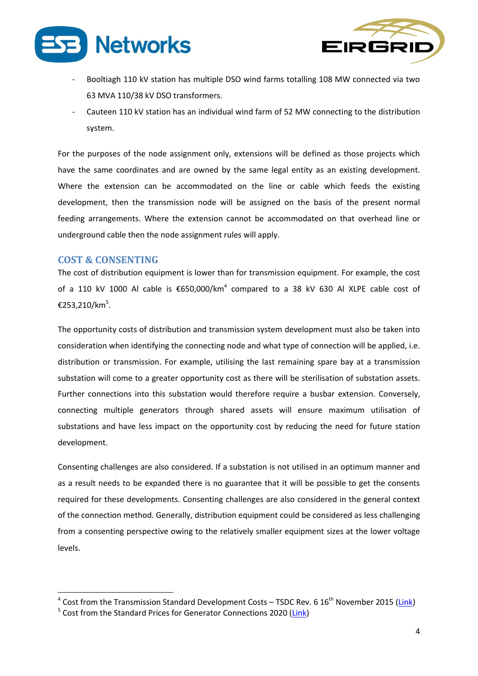



- Booltiagh 110 kV station has multiple DSO wind farms totalling 108 MW connected via two 63 MVA 110/38 kV DSO transformers.
- Cauteen 110 kV station has an individual wind farm of 52 MW connecting to the distribution system.

For the purposes of the node assignment only, extensions will be defined as those projects which have the same coordinates and are owned by the same legal entity as an existing development. Where the extension can be accommodated on the line or cable which feeds the existing development, then the transmission node will be assigned on the basis of the present normal feeding arrangements. Where the extension cannot be accommodated on that overhead line or underground cable then the node assignment rules will apply.

#### <span id="page-5-0"></span>**COST & CONSENTING**

**.** 

The cost of distribution equipment is lower than for transmission equipment. For example, the cost of a 110 kV 1000 Al cable is €650,000/km<sup>4</sup> compared to a 38 kV 630 Al XLPE cable cost of €253,210/km<sup>5</sup> .

The opportunity costs of distribution and transmission system development must also be taken into consideration when identifying the connecting node and what type of connection will be applied, i.e. distribution or transmission. For example, utilising the last remaining spare bay at a transmission substation will come to a greater opportunity cost as there will be sterilisation of substation assets. Further connections into this substation would therefore require a busbar extension. Conversely, connecting multiple generators through shared assets will ensure maximum utilisation of substations and have less impact on the opportunity cost by reducing the need for future station development.

Consenting challenges are also considered. If a substation is not utilised in an optimum manner and as a result needs to be expanded there is no guarantee that it will be possible to get the consents required for these developments. Consenting challenges are also considered in the general context of the connection method. Generally, distribution equipment could be considered as less challenging from a consenting perspective owing to the relatively smaller equipment sizes at the lower voltage levels.

<sup>&</sup>lt;sup>4</sup> Cost from the Transmission Standard Development Costs – TSDC Rev. 6 16<sup>th</sup> November 2015 [\(Link\)](https://buzz.grid.ie/sites/GridDevelopment/PMO/Standard%20Costs%20Workspace/TSDC%20and%20TMUC%20-%20LATEST%20VERSIONS/TSDC%20Uncontrolled%20Copy%202014%20Rev%206.pdf)

<sup>&</sup>lt;sup>5</sup> Cost from the Standard Prices for Generator Connections 2020 [\(Link\)](https://www.cru.ie/wp-content/uploads/2018/10/CRU18227b-Standard-Prices-for-Generator-Connections-Submission-Paper-to-CRU.pdf)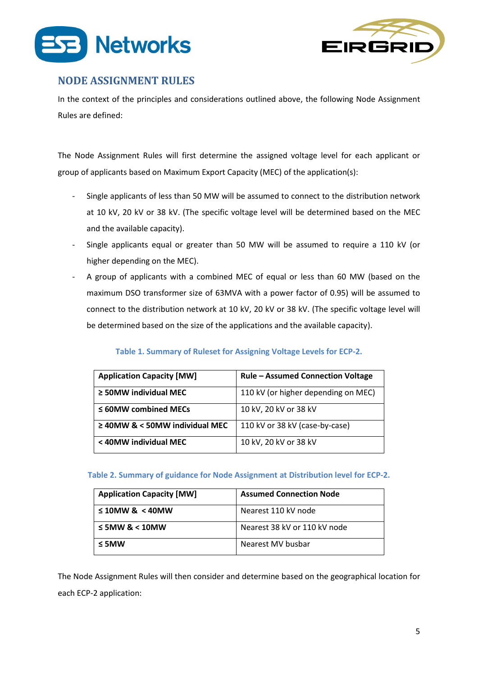



## <span id="page-6-0"></span>**NODE ASSIGNMENT RULES**

In the context of the principles and considerations outlined above, the following Node Assignment Rules are defined:

The Node Assignment Rules will first determine the assigned voltage level for each applicant or group of applicants based on Maximum Export Capacity (MEC) of the application(s):

- Single applicants of less than 50 MW will be assumed to connect to the distribution network at 10 kV, 20 kV or 38 kV. (The specific voltage level will be determined based on the MEC and the available capacity).
- Single applicants equal or greater than 50 MW will be assumed to require a 110 kV (or higher depending on the MEC).
- A group of applicants with a combined MEC of equal or less than 60 MW (based on the maximum DSO transformer size of 63MVA with a power factor of 0.95) will be assumed to connect to the distribution network at 10 kV, 20 kV or 38 kV. (The specific voltage level will be determined based on the size of the applications and the available capacity).

#### **Table 1. Summary of Ruleset for Assigning Voltage Levels for ECP-2.**

| <b>Application Capacity [MW]</b>    | <b>Rule - Assumed Connection Voltage</b> |
|-------------------------------------|------------------------------------------|
| $\geq$ 50MW individual MEC          | 110 kV (or higher depending on MEC)      |
| $\leq$ 60MW combined MECs           | 10 kV, 20 kV or 38 kV                    |
| $\geq$ 40MW & < 50MW individual MEC | 110 kV or 38 kV (case-by-case)           |
| < 40MW individual MEC               | 10 kV, 20 kV or 38 kV                    |

**Table 2. Summary of guidance for Node Assignment at Distribution level for ECP-2.**

| <b>Application Capacity [MW]</b> | <b>Assumed Connection Node</b> |
|----------------------------------|--------------------------------|
| $\leq 10$ MW & < 40MW            | Nearest 110 kV node            |
| $\leq$ 5MW & < 10MW              | Nearest 38 kV or 110 kV node   |
| $\leq$ 5MW                       | Nearest MV busbar              |

The Node Assignment Rules will then consider and determine based on the geographical location for each ECP-2 application: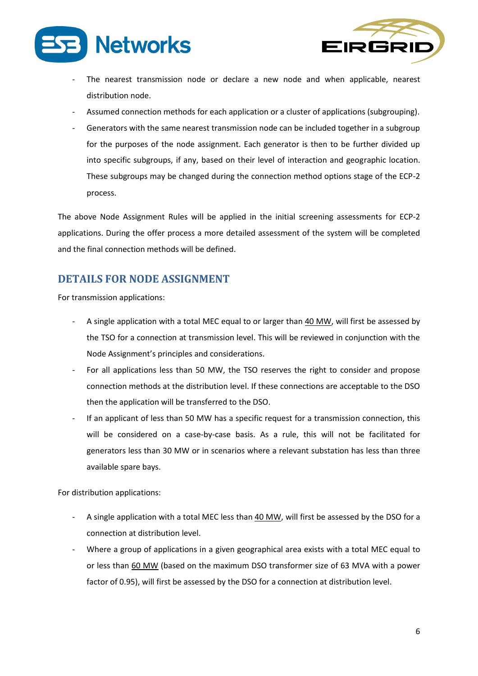



- The nearest transmission node or declare a new node and when applicable, nearest distribution node.
- Assumed connection methods for each application or a cluster of applications (subgrouping).
- Generators with the same nearest transmission node can be included together in a subgroup for the purposes of the node assignment. Each generator is then to be further divided up into specific subgroups, if any, based on their level of interaction and geographic location. These subgroups may be changed during the connection method options stage of the ECP-2 process.

The above Node Assignment Rules will be applied in the initial screening assessments for ECP-2 applications. During the offer process a more detailed assessment of the system will be completed and the final connection methods will be defined.

## <span id="page-7-0"></span>**DETAILS FOR NODE ASSIGNMENT**

For transmission applications:

- A single application with a total MEC equal to or larger than 40 MW, will first be assessed by the TSO for a connection at transmission level. This will be reviewed in conjunction with the Node Assignment's principles and considerations.
- For all applications less than 50 MW, the TSO reserves the right to consider and propose connection methods at the distribution level. If these connections are acceptable to the DSO then the application will be transferred to the DSO.
- If an applicant of less than 50 MW has a specific request for a transmission connection, this will be considered on a case-by-case basis. As a rule, this will not be facilitated for generators less than 30 MW or in scenarios where a relevant substation has less than three available spare bays.

For distribution applications:

- A single application with a total MEC less than 40 MW, will first be assessed by the DSO for a connection at distribution level.
- Where a group of applications in a given geographical area exists with a total MEC equal to or less than 60 MW (based on the maximum DSO transformer size of 63 MVA with a power factor of 0.95), will first be assessed by the DSO for a connection at distribution level.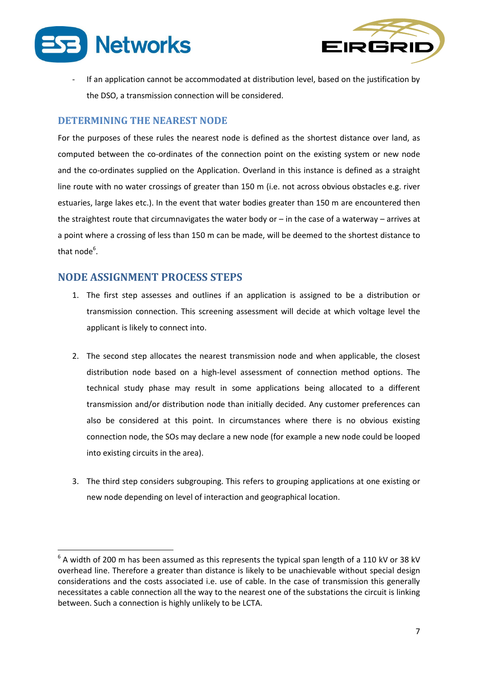



If an application cannot be accommodated at distribution level, based on the justification by the DSO, a transmission connection will be considered.

#### <span id="page-8-0"></span>**DETERMINING THE NEAREST NODE**

For the purposes of these rules the nearest node is defined as the shortest distance over land, as computed between the co-ordinates of the connection point on the existing system or new node and the co-ordinates supplied on the Application. Overland in this instance is defined as a straight line route with no water crossings of greater than 150 m (i.e. not across obvious obstacles e.g. river estuaries, large lakes etc.). In the event that water bodies greater than 150 m are encountered then the straightest route that circumnavigates the water body or – in the case of a waterway – arrives at a point where a crossing of less than 150 m can be made, will be deemed to the shortest distance to that node<sup>6</sup>.

### <span id="page-8-1"></span>**NODE ASSIGNMENT PROCESS STEPS**

**.** 

- 1. The first step assesses and outlines if an application is assigned to be a distribution or transmission connection. This screening assessment will decide at which voltage level the applicant is likely to connect into.
- 2. The second step allocates the nearest transmission node and when applicable, the closest distribution node based on a high-level assessment of connection method options. The technical study phase may result in some applications being allocated to a different transmission and/or distribution node than initially decided. Any customer preferences can also be considered at this point. In circumstances where there is no obvious existing connection node, the SOs may declare a new node (for example a new node could be looped into existing circuits in the area).
- 3. The third step considers subgrouping. This refers to grouping applications at one existing or new node depending on level of interaction and geographical location.

 $^6$  A width of 200 m has been assumed as this represents the typical span length of a 110 kV or 38 kV overhead line. Therefore a greater than distance is likely to be unachievable without special design considerations and the costs associated i.e. use of cable. In the case of transmission this generally necessitates a cable connection all the way to the nearest one of the substations the circuit is linking between. Such a connection is highly unlikely to be LCTA.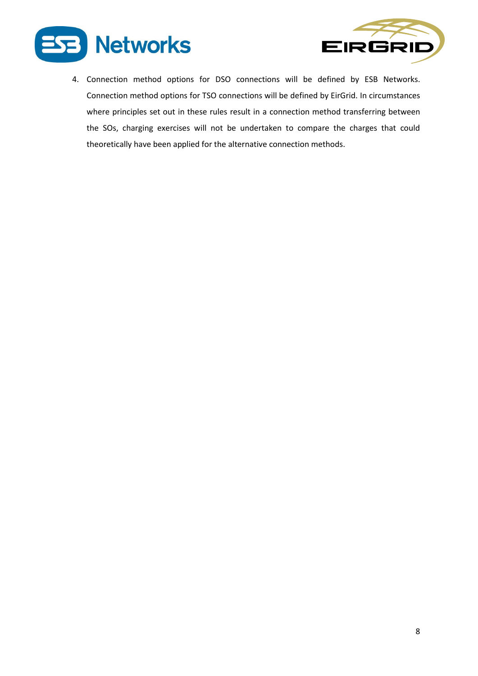



4. Connection method options for DSO connections will be defined by ESB Networks. Connection method options for TSO connections will be defined by EirGrid. In circumstances where principles set out in these rules result in a connection method transferring between the SOs, charging exercises will not be undertaken to compare the charges that could theoretically have been applied for the alternative connection methods.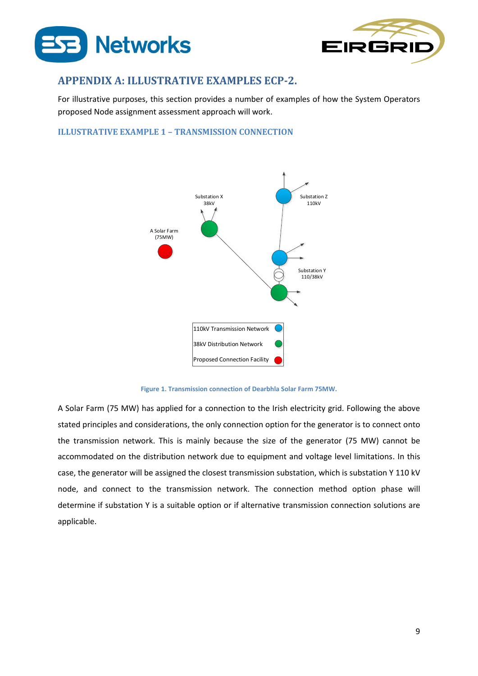



## <span id="page-10-0"></span>**APPENDIX A: ILLUSTRATIVE EXAMPLES ECP-2.**

For illustrative purposes, this section provides a number of examples of how the System Operators proposed Node assignment assessment approach will work.

#### <span id="page-10-1"></span>**ILLUSTRATIVE EXAMPLE 1 – TRANSMISSION CONNECTION**



**Figure 1. Transmission connection of Dearbhla Solar Farm 75MW.**

A Solar Farm (75 MW) has applied for a connection to the Irish electricity grid. Following the above stated principles and considerations, the only connection option for the generator is to connect onto the transmission network. This is mainly because the size of the generator (75 MW) cannot be accommodated on the distribution network due to equipment and voltage level limitations. In this case, the generator will be assigned the closest transmission substation, which is substation Y 110 kV node, and connect to the transmission network. The connection method option phase will determine if substation Y is a suitable option or if alternative transmission connection solutions are applicable.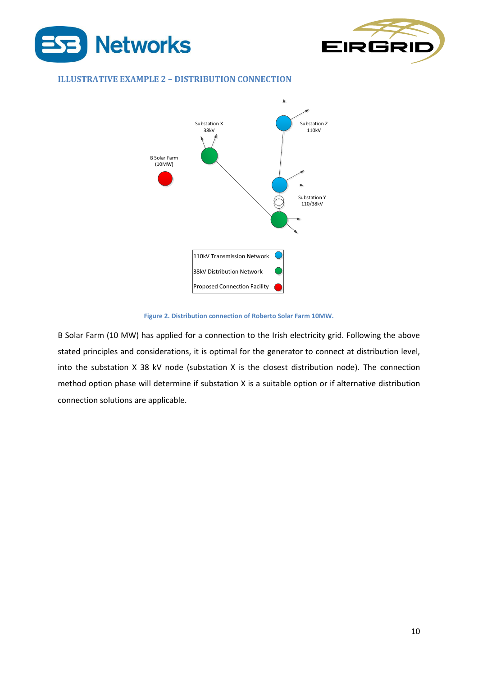



#### <span id="page-11-0"></span>**ILLUSTRATIVE EXAMPLE 2 – DISTRIBUTION CONNECTION**



#### **Figure 2. Distribution connection of Roberto Solar Farm 10MW.**

B Solar Farm (10 MW) has applied for a connection to the Irish electricity grid. Following the above stated principles and considerations, it is optimal for the generator to connect at distribution level, into the substation X 38 kV node (substation X is the closest distribution node). The connection method option phase will determine if substation X is a suitable option or if alternative distribution connection solutions are applicable.